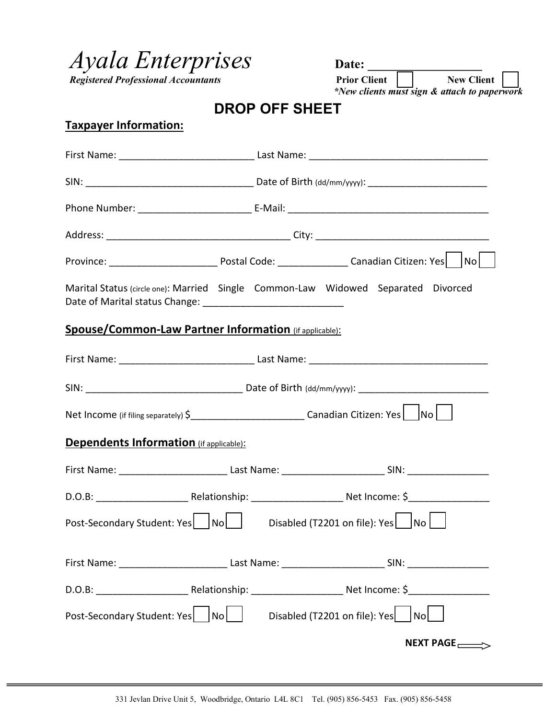*Ayala Enterprises* Date: <u>*Date: Date: Degistered Professional Accountants Professional Accountants*</u>

 $Resistered$  Professional *Accountants* 

 *\*New clients must sign & attach to paperwork* 

| <b>DROP OFF SHEET</b> |  |  |
|-----------------------|--|--|
|-----------------------|--|--|

## **Taxpayer Information:**

| Marital Status (circle one): Married Single Common-Law Widowed Separated Divorced                                     |  |                             |
|-----------------------------------------------------------------------------------------------------------------------|--|-----------------------------|
| <b>Spouse/Common-Law Partner Information</b> (if applicable):                                                         |  |                             |
|                                                                                                                       |  |                             |
|                                                                                                                       |  |                             |
| Net Income (if filing separately) $\zeta$ __________________________________Canadian Citizen: Yes   No                |  |                             |
| <b>Dependents Information</b> (if applicable):                                                                        |  |                             |
|                                                                                                                       |  |                             |
| D.O.B: __________________________________Relationship: __________________________ Net Income: \$_____________________ |  |                             |
| Post-Secondary Student: Yes   No   Disabled (T2201 on file): Yes   No                                                 |  |                             |
|                                                                                                                       |  |                             |
|                                                                                                                       |  |                             |
| Post-Secondary Student: Yes   No     Disabled (T2201 on file): Yes   No                                               |  |                             |
|                                                                                                                       |  | NEXT PAGE $\longrightarrow$ |